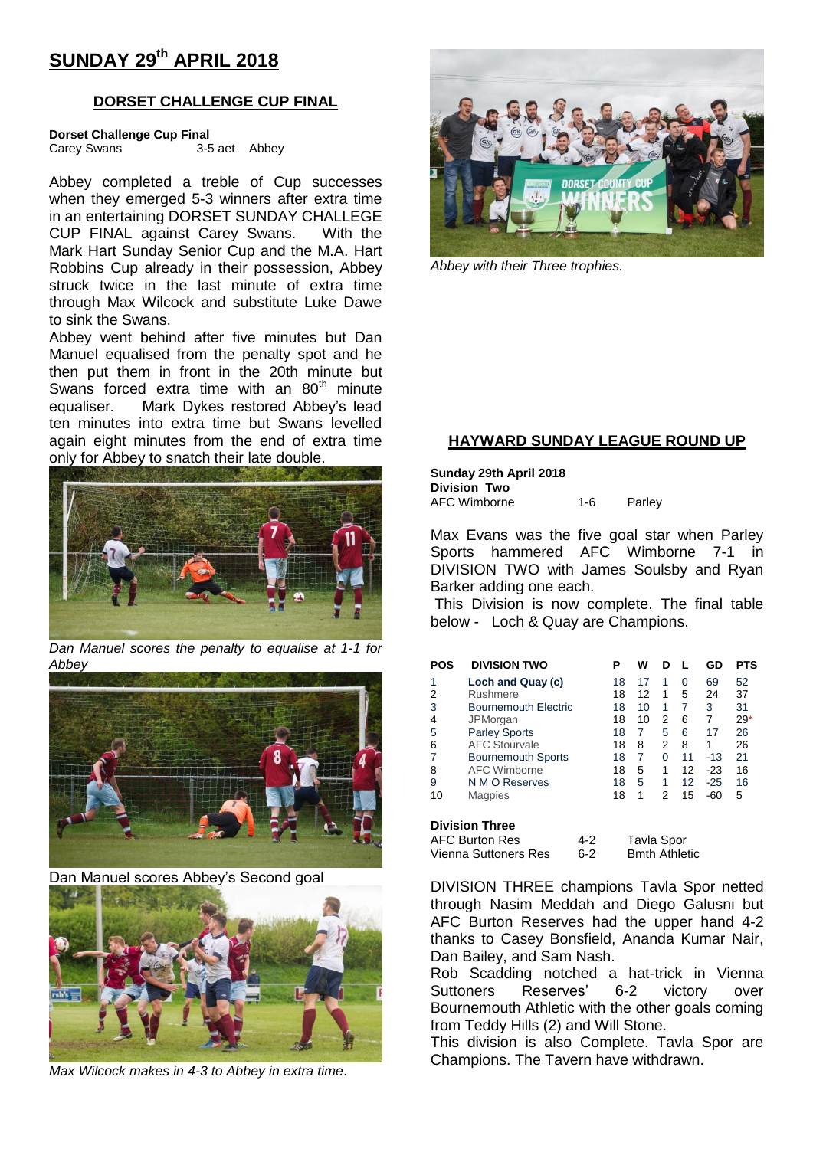## **SUNDAY 29th APRIL 2018**

### **DORSET CHALLENGE CUP FINAL**

**Dorset Challenge Cup Final**

Carey Swans 3-5 aet Abbey

Abbey completed a treble of Cup successes when they emerged 5-3 winners after extra time in an entertaining DORSET SUNDAY CHALLEGE CUP FINAL against Carey Swans. With the Mark Hart Sunday Senior Cup and the M.A. Hart Robbins Cup already in their possession, Abbey struck twice in the last minute of extra time through Max Wilcock and substitute Luke Dawe to sink the Swans.

Abbey went behind after five minutes but Dan Manuel equalised from the penalty spot and he then put them in front in the 20th minute but Swans forced extra time with an  $80<sup>th</sup>$  minute equaliser. Mark Dykes restored Abbey's lead ten minutes into extra time but Swans levelled again eight minutes from the end of extra time only for Abbey to snatch their late double.



*Dan Manuel scores the penalty to equalise at 1-1 for Abbey*



Dan Manuel scores Abbey's Second goal



*Max Wilcock makes in 4-3 to Abbey in extra time*.



*Abbey with their Three trophies.*

## **HAYWARD SUNDAY LEAGUE ROUND UP**

**Sunday 29th April 2018 Division Two** AFC Wimborne 1-6 Parley

Max Evans was the five goal star when Parley Sports hammered AFC Wimborne 7-1 in DIVISION TWO with James Soulsby and Ryan Barker adding one each.

This Division is now complete. The final table below - Loch & Quay are Champions.

| <b>POS</b>                                          | <b>DIVISION TWO</b>         |  | Р  | W          | D |    | GD    | <b>PTS</b> |
|-----------------------------------------------------|-----------------------------|--|----|------------|---|----|-------|------------|
| 1                                                   | Loch and Quay (c)           |  | 18 | 17         | 1 | 0  | 69    | 52         |
| 2                                                   | Rushmere                    |  | 18 | 12         | 1 | 5  | 24    | 37         |
| 3                                                   | <b>Bournemouth Electric</b> |  | 18 | 10         | 1 | 7  | 3     | 31         |
| 4                                                   | JPMorgan                    |  | 18 | 10         | 2 | 6  | 7     | $29*$      |
| 5                                                   | <b>Parley Sports</b>        |  | 18 | 7          | 5 | 6  | 17    | 26         |
| 6                                                   | <b>AFC Stourvale</b>        |  | 18 | 8          | 2 | 8  | 1     | 26         |
| 7                                                   | <b>Bournemouth Sports</b>   |  | 18 | 7          | 0 | 11 | -13   | 21         |
| 8                                                   | <b>AFC Wimborne</b>         |  | 18 | 5          | 1 | 12 | -23   | 16         |
| 9                                                   | N M O Reserves              |  | 18 | 5          | 1 | 12 | $-25$ | 16         |
| 10                                                  | <b>Magpies</b>              |  | 18 | 1          | 2 | 15 | $-60$ | 5          |
| <b>Division Three</b>                               |                             |  |    |            |   |    |       |            |
| <b>AFC Burton Res</b><br>4-2                        |                             |  |    | Tavla Spor |   |    |       |            |
| <b>Bmth Athletic</b><br>Vienna Suttoners Res<br>6-2 |                             |  |    |            |   |    |       |            |

DIVISION THREE champions Tavla Spor netted through Nasim Meddah and Diego Galusni but AFC Burton Reserves had the upper hand 4-2 thanks to Casey Bonsfield, Ananda Kumar Nair, Dan Bailey, and Sam Nash.

Rob Scadding notched a hat-trick in Vienna Suttoners Reserves' 6-2 victory over Bournemouth Athletic with the other goals coming from Teddy Hills (2) and Will Stone.

This division is also Complete. Tavla Spor are Champions. The Tavern have withdrawn.